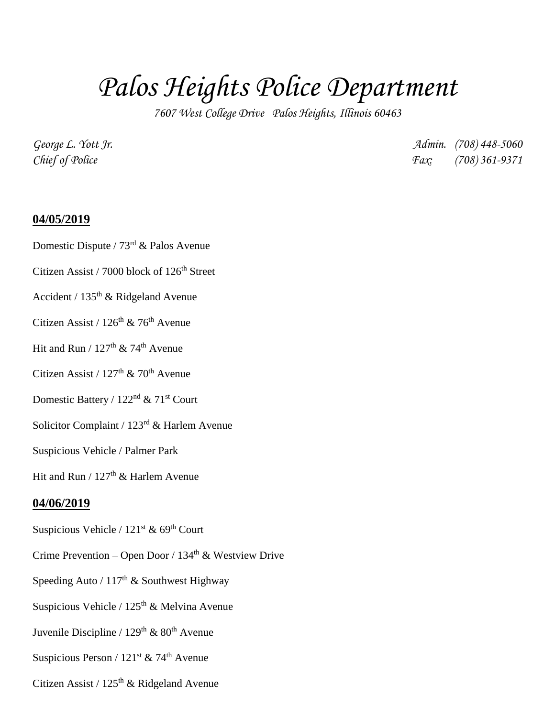## *Palos Heights Police Department*

*7607 West College Drive Palos Heights, Illinois 60463*

*George L. Yott Jr. Admin. (708) 448-5060 Chief of Police Fax: (708) 361-9371*

## **04/05/2019**

- Domestic Dispute / 73<sup>rd</sup> & Palos Avenue
- Citizen Assist / 7000 block of  $126<sup>th</sup>$  Street
- Accident /  $135<sup>th</sup>$  & Ridgeland Avenue
- Citizen Assist /  $126<sup>th</sup>$  & 76<sup>th</sup> Avenue
- Hit and Run /  $127<sup>th</sup>$  & 74<sup>th</sup> Avenue
- Citizen Assist /  $127<sup>th</sup>$  &  $70<sup>th</sup>$  Avenue
- Domestic Battery / 122<sup>nd</sup> & 71<sup>st</sup> Court
- Solicitor Complaint / 123rd & Harlem Avenue
- Suspicious Vehicle / Palmer Park

Hit and Run /  $127<sup>th</sup>$  & Harlem Avenue

## **04/06/2019**

- Suspicious Vehicle /  $121<sup>st</sup>$  & 69<sup>th</sup> Court
- Crime Prevention Open Door /  $134<sup>th</sup>$  & Westview Drive
- Speeding Auto /  $117<sup>th</sup>$  & Southwest Highway
- Suspicious Vehicle / 125<sup>th</sup> & Melvina Avenue
- Juvenile Discipline /  $129<sup>th</sup>$  &  $80<sup>th</sup>$  Avenue
- Suspicious Person /  $121^{st}$  & 74<sup>th</sup> Avenue
- Citizen Assist /  $125<sup>th</sup>$  & Ridgeland Avenue